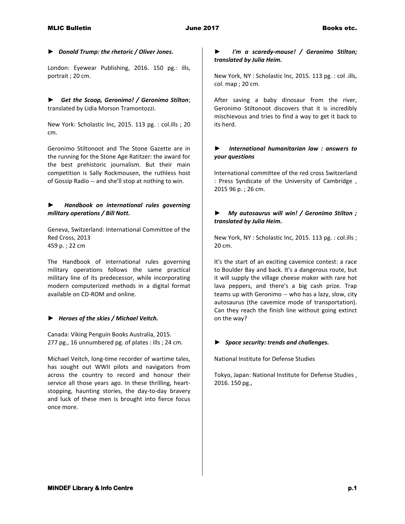#### *► Donald Trump: the rhetoric / Oliver Jones.*

London: Eyewear Publishing, 2016. 150 pg.: ills, portrait ; 20 cm.

► *Get the Scoop, Geronimo! / Geronimo Stilton*; translated by Lidia Morson Tramontozzi.

New York: Scholastic Inc, 2015. 113 pg. : col.ills ; 20 cm.

Geronimo Stiltonoot and The Stone Gazette are in the running for the Stone Age Ratitzer: the award for the best prehistoric journalism. But their main competition is Sally Rockmousen, the ruthless host of Gossip Radio -- and she'll stop at nothing to win.

# ► *Handbook on international rules governing military operations / Bill Nott.*

Geneva, Switzerland: International Committee of the Red Cross, 2013 459 p. ; 22 cm

The Handbook of international rules governing military operations follows the same practical military line of its predecessor, while incorporating modern computerized methods in a digital format available on CD-ROM and online.

### *► Heroes of the skies / Michael Veitch.*

Canada: Viking Penguin Books Australia, 2015. 277 pg., 16 unnumbered pg. of plates : ills ; 24 cm.

Michael Veitch, long-time recorder of wartime tales, has sought out WWII pilots and navigators from across the country to record and honour their service all those years ago. In these thrilling, heartstopping, haunting stories, the day-to-day bravery and luck of these men is brought into fierce focus once more.

### *► I'm a scaredy-mouse! / Geronimo Stilton; translated by Julia Heim.*

New York, NY : Scholastic Inc, 2015. 113 pg. : col .ills, col. map ; 20 cm.

After saving a baby dinosaur from the river, Geronimo Stiltonoot discovers that it is incredibly mischievous and tries to find a way to get it back to its herd.

### ► *International humanitarian law : answers to your questions*

International committee of the red cross Switzerland : Press Syndicate of the University of Cambridge , 2015 96 p. ; 26 cm.

# ► *My autosaurus will win! / Geronimo Stilton ; translated by Julia Heim.*

New York, NY : Scholastic Inc, 2015. 113 pg. : col.ills ; 20 cm.

It's the start of an exciting cavemice contest: a race to Boulder Bay and back. It's a dangerous route, but it will supply the village cheese maker with rare hot lava peppers, and there's a big cash prize. Trap teams up with Geronimo -- who has a lazy, slow, city autosaurus (the cavemice mode of transportation). Can they reach the finish line without going extinct on the way?

### *► Space security: trends and challenges.*

National Institute for Defense Studies

Tokyo, Japan: National Institute for Defense Studies , 2016. 150 pg.,